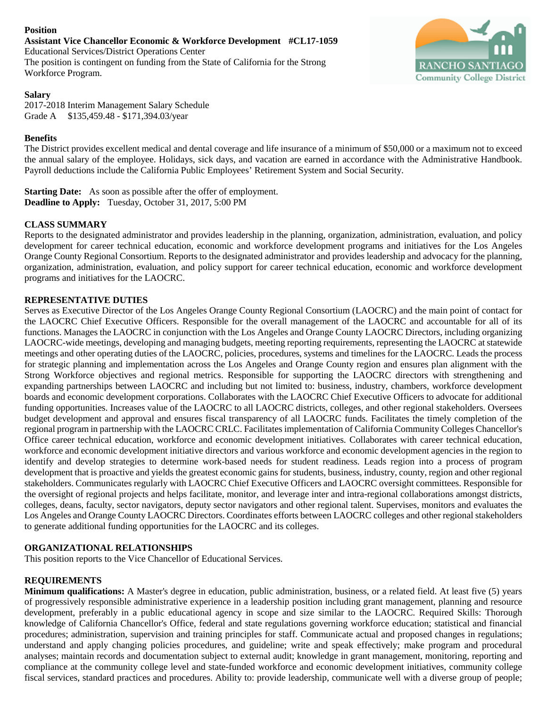# **Position**

**Assistant Vice Chancellor Economic & Workforce Development #CL17-1059** Educational Services/District Operations Center The position is contingent on funding from the State of California for the Strong Workforce Program.

# **Salary**

2017-2018 Interim Management Salary Schedule Grade A \$135,459.48 - \$171,394.03/year

# **Benefits**

RANCHO SANTIAG **Community College District** 

The District provides excellent medical and dental coverage and life insurance of a minimum of \$50,000 or a maximum not to exceed the annual salary of the employee. Holidays, sick days, and vacation are earned in accordance with the Administrative Handbook. Payroll deductions include the California Public Employees' Retirement System and Social Security.

**Starting Date:** As soon as possible after the offer of employment. **Deadline to Apply:** Tuesday, October 31, 2017, 5:00 PM

# **CLASS SUMMARY**

Reports to the designated administrator and provides leadership in the planning, organization, administration, evaluation, and policy development for career technical education, economic and workforce development programs and initiatives for the Los Angeles Orange County Regional Consortium. Reports to the designated administrator and provides leadership and advocacy for the planning, organization, administration, evaluation, and policy support for career technical education, economic and workforce development programs and initiatives for the LAOCRC.

# **REPRESENTATIVE DUTIES**

Serves as Executive Director of the Los Angeles Orange County Regional Consortium (LAOCRC) and the main point of contact for the LAOCRC Chief Executive Officers. Responsible for the overall management of the LAOCRC and accountable for all of its functions. Manages the LAOCRC in conjunction with the Los Angeles and Orange County LAOCRC Directors, including organizing LAOCRC-wide meetings, developing and managing budgets, meeting reporting requirements, representing the LAOCRC at statewide meetings and other operating duties of the LAOCRC, policies, procedures, systems and timelines for the LAOCRC. Leads the process for strategic planning and implementation across the Los Angeles and Orange County region and ensures plan alignment with the Strong Workforce objectives and regional metrics. Responsible for supporting the LAOCRC directors with strengthening and expanding partnerships between LAOCRC and including but not limited to: business, industry, chambers, workforce development boards and economic development corporations. Collaborates with the LAOCRC Chief Executive Officers to advocate for additional funding opportunities. Increases value of the LAOCRC to all LAOCRC districts, colleges, and other regional stakeholders. Oversees budget development and approval and ensures fiscal transparency of all LAOCRC funds. Facilitates the timely completion of the regional program in partnership with the LAOCRC CRLC. Facilitates implementation of California Community Colleges Chancellor's Office career technical education, workforce and economic development initiatives. Collaborates with career technical education, workforce and economic development initiative directors and various workforce and economic development agencies in the region to identify and develop strategies to determine work-based needs for student readiness. Leads region into a process of program development that is proactive and yields the greatest economic gains for students, business, industry, county, region and other regional stakeholders. Communicates regularly with LAOCRC Chief Executive Officers and LAOCRC oversight committees. Responsible for the oversight of regional projects and helps facilitate, monitor, and leverage inter and intra-regional collaborations amongst districts, colleges, deans, faculty, sector navigators, deputy sector navigators and other regional talent. Supervises, monitors and evaluates the Los Angeles and Orange County LAOCRC Directors. Coordinates efforts between LAOCRC colleges and other regional stakeholders to generate additional funding opportunities for the LAOCRC and its colleges.

# **ORGANIZATIONAL RELATIONSHIPS**

This position reports to the Vice Chancellor of Educational Services.

# **REQUIREMENTS**

**Minimum qualifications:** A Master's degree in education, public administration, business, or a related field. At least five (5) years of progressively responsible administrative experience in a leadership position including grant management, planning and resource development, preferably in a public educational agency in scope and size similar to the LAOCRC. Required Skills: Thorough knowledge of California Chancellor's Office, federal and state regulations governing workforce education; statistical and financial procedures; administration, supervision and training principles for staff. Communicate actual and proposed changes in regulations; understand and apply changing policies procedures, and guideline; write and speak effectively; make program and procedural analyses; maintain records and documentation subject to external audit; knowledge in grant management, monitoring, reporting and compliance at the community college level and state-funded workforce and economic development initiatives, community college fiscal services, standard practices and procedures. Ability to: provide leadership, communicate well with a diverse group of people;